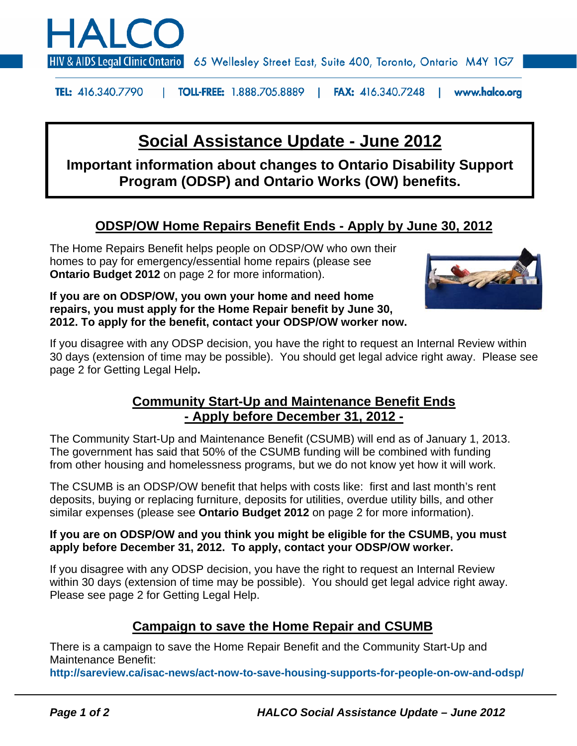

HIV & AIDS Legal Clinic Ontario 65 Wellesley Street East, Suite 400, Toronto, Ontario M4Y 1G7

**TEL: 416.340.7790 TOLL-FREE: 1.888.705.8889 FAX:** 416.340.7248 | www.halco.org

# **Social Assistance Update - June 2012**

**Important information about changes to Ontario Disability Support Program (ODSP) and Ontario Works (OW) benefits.** 

### **ODSP/OW Home Repairs Benefit Ends - Apply by June 30, 2012**

The Home Repairs Benefit helps people on ODSP/OW who own their homes to pay for emergency/essential home repairs (please see **Ontario Budget 2012** on page 2 for more information).

**If you are on ODSP/OW, you own your home and need home repairs, you must apply for the Home Repair benefit by June 30, 2012. To apply for the benefit, contact your ODSP/OW worker now.**



If you disagree with any ODSP decision, you have the right to request an Internal Review within 30 days (extension of time may be possible). You should get legal advice right away. Please see page 2 for Getting Legal Help**.**

### **Community Start-Up and Maintenance Benefit Ends - Apply before December 31, 2012 -**

The Community Start-Up and Maintenance Benefit (CSUMB) will end as of January 1, 2013. The government has said that 50% of the CSUMB funding will be combined with funding from other housing and homelessness programs, but we do not know yet how it will work.

The CSUMB is an ODSP/OW benefit that helps with costs like: first and last month's rent deposits, buying or replacing furniture, deposits for utilities, overdue utility bills, and other similar expenses (please see **Ontario Budget 2012** on page 2 for more information).

#### **If you are on ODSP/OW and you think you might be eligible for the CSUMB, you must apply before December 31, 2012. To apply, contact your ODSP/OW worker.**

If you disagree with any ODSP decision, you have the right to request an Internal Review within 30 days (extension of time may be possible). You should get legal advice right away. Please see page 2 for Getting Legal Help.

### **Campaign to save the Home Repair and CSUMB**

There is a campaign to save the Home Repair Benefit and the Community Start-Up and Maintenance Benefit:

**http://sareview.ca/isac-news/act-now-to-save-housing-supports-for-people-on-ow-and-odsp/**